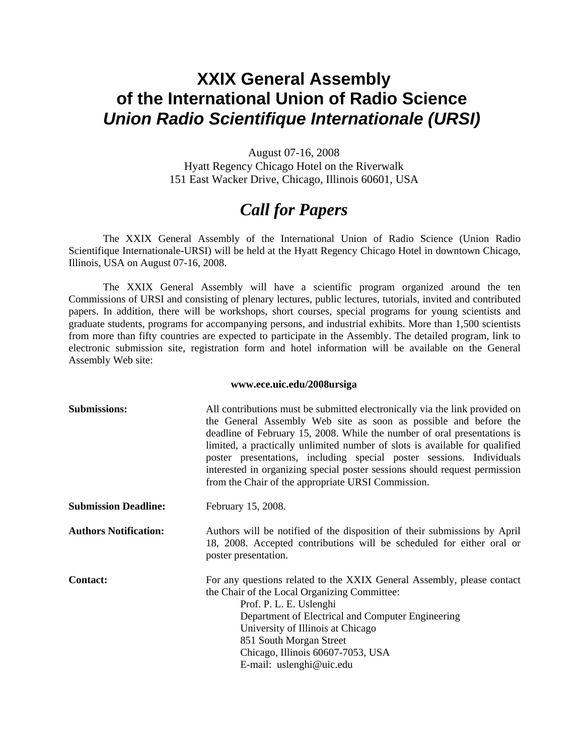## **XXIX General Assembly of the International Union of Radio Science**  *Union Radio Scientifique Internationale (URSI)*

August 07-16, 2008 Hyatt Regency Chicago Hotel on the Riverwalk 151 East Wacker Drive, Chicago, Illinois 60601, USA

# *Call for Papers*

The XXIX General Assembly of the International Union of Radio Science (Union Radio Scientifique Internationale-URSI) will be held at the Hyatt Regency Chicago Hotel in downtown Chicago, Illinois, USA on August 07-16, 2008.

The XXIX General Assembly will have a scientific program organized around the ten Commissions of URSI and consisting of plenary lectures, public lectures, tutorials, invited and contributed papers. In addition, there will be workshops, short courses, special programs for young scientists and graduate students, programs for accompanying persons, and industrial exhibits. More than 1,500 scientists from more than fifty countries are expected to participate in the Assembly. The detailed program, link to electronic submission site, registration form and hotel information will be available on the General Assembly Web site:

### **www.ece.uic.edu/2008ursiga**

| <b>Submissions:</b>          | All contributions must be submitted electronically via the link provided on<br>the General Assembly Web site as soon as possible and before the<br>deadline of February 15, 2008. While the number of oral presentations is<br>limited, a practically unlimited number of slots is available for qualified<br>poster presentations, including special poster sessions. Individuals<br>interested in organizing special poster sessions should request permission<br>from the Chair of the appropriate URSI Commission. |
|------------------------------|------------------------------------------------------------------------------------------------------------------------------------------------------------------------------------------------------------------------------------------------------------------------------------------------------------------------------------------------------------------------------------------------------------------------------------------------------------------------------------------------------------------------|
| <b>Submission Deadline:</b>  | February 15, 2008.                                                                                                                                                                                                                                                                                                                                                                                                                                                                                                     |
| <b>Authors Notification:</b> | Authors will be notified of the disposition of their submissions by April<br>18, 2008. Accepted contributions will be scheduled for either oral or<br>poster presentation.                                                                                                                                                                                                                                                                                                                                             |
| <b>Contact:</b>              | For any questions related to the XXIX General Assembly, please contact<br>the Chair of the Local Organizing Committee:<br>Prof. P. L. E. Uslenghi<br>Department of Electrical and Computer Engineering<br>University of Illinois at Chicago<br>851 South Morgan Street<br>Chicago, Illinois 60607-7053, USA<br>E-mail: uslenghi@uic.edu                                                                                                                                                                                |